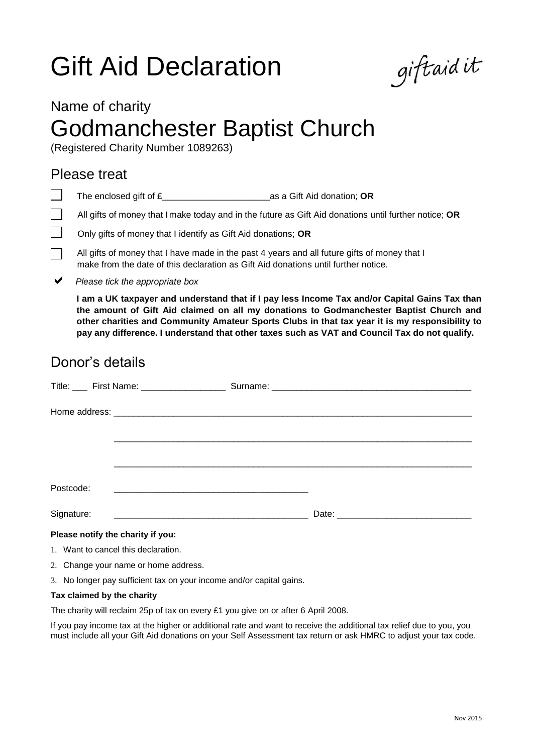# Gift Aid Declaration

giftaidit

### Name of charity

## Godmanchester Baptist Church

(Registered Charity Number 1089263)

### Please treat

The enclosed gift of £\_\_\_\_\_\_\_\_\_\_\_\_\_\_\_\_\_\_\_\_as a Gift Aid donation; **OR**  $\mathbf{I}$ 

 $\mathbf{I}$ All gifts of money that I make today and in the future as Gift Aid donations until further notice; **OR**

Only gifts of money that I identify as Gift Aid donations; **OR**

All gifts of money that I have made in the past 4 years and all future gifts of money that I make from the date of this declaration as Gift Aid donations until further notice.

*Please tick the appropriate box*

**I am a UK taxpayer and understand that if I pay less Income Tax and/or Capital Gains Tax than the amount of Gift Aid claimed on all my donations to Godmanchester Baptist Church and other charities and Community Amateur Sports Clubs in that tax year it is my responsibility to pay any difference. I understand that other taxes such as VAT and Council Tax do not qualify.**

### Donor's details

|                                   | Title: ____ First Name: _____________________         |  |  |
|-----------------------------------|-------------------------------------------------------|--|--|
|                                   |                                                       |  |  |
|                                   |                                                       |  |  |
|                                   |                                                       |  |  |
|                                   |                                                       |  |  |
| Postcode:                         | <u> 1980 - Jan Barnett, fransk kongresu (d. 1980)</u> |  |  |
| Signature:                        |                                                       |  |  |
| Please notify the charity if you: |                                                       |  |  |

- 1. Want to cancel this declaration.
- 2. Change your name or home address.
- 3. No longer pay sufficient tax on your income and/or capital gains.

#### **Tax claimed by the charity**

The charity will reclaim 25p of tax on every £1 you give on or after 6 April 2008.

If you pay income tax at the higher or additional rate and want to receive the additional tax relief due to you, you must include all your Gift Aid donations on your Self Assessment tax return or ask HMRC to adjust your tax code.